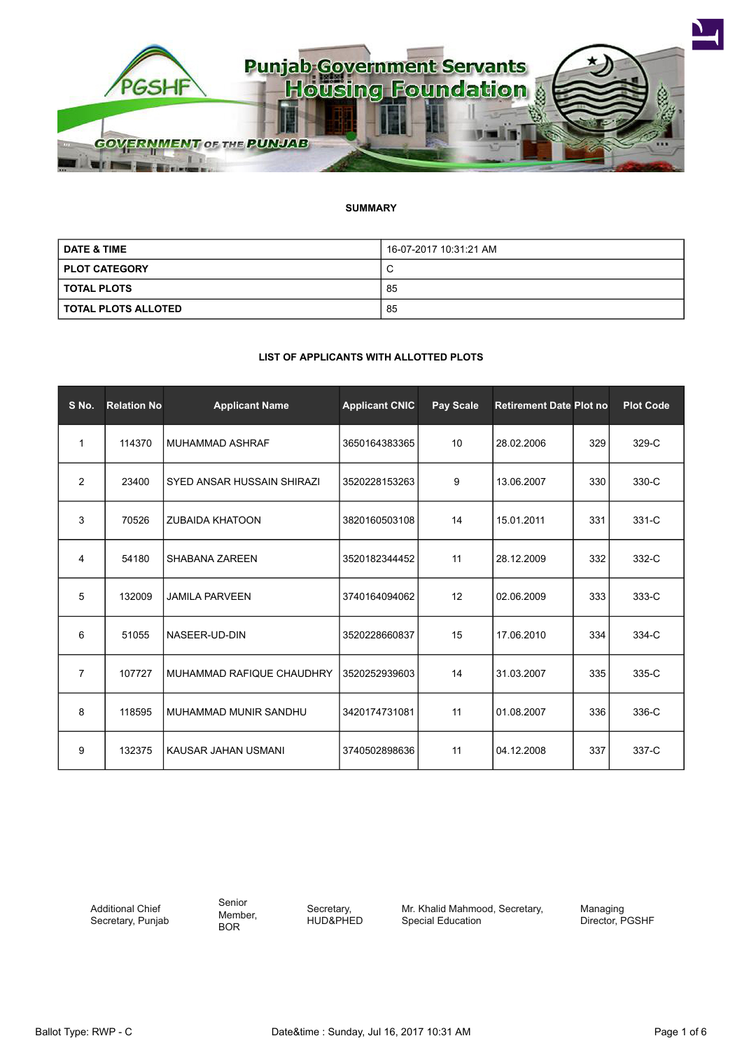

# **SUMMARY**

| <b>DATE &amp; TIME</b> | 16-07-2017 10:31:21 AM |
|------------------------|------------------------|
| <b>PLOT CATEGORY</b>   | ◡                      |
| <b>TOTAL PLOTS</b>     | 85                     |
| TOTAL PLOTS ALLOTED    | 85                     |

## **LIST OF APPLICANTS WITH ALLOTTED PLOTS**

| S No.          | <b>Relation No</b> | <b>Applicant Name</b>      | <b>Applicant CNIC</b> | Pay Scale | <b>Retirement Date Plot no</b> |     | <b>Plot Code</b> |
|----------------|--------------------|----------------------------|-----------------------|-----------|--------------------------------|-----|------------------|
| 1              | 114370             | <b>MUHAMMAD ASHRAF</b>     | 3650164383365         | 10        | 28.02.2006                     | 329 | 329-C            |
| 2              | 23400              | SYED ANSAR HUSSAIN SHIRAZI | 3520228153263         | 9         | 13.06.2007                     | 330 | 330-C            |
| 3              | 70526              | <b>ZUBAIDA KHATOON</b>     | 3820160503108         | 14        | 15.01.2011                     | 331 | 331-C            |
| 4              | 54180              | <b>SHABANA ZAREEN</b>      | 3520182344452         | 11        | 28.12.2009                     | 332 | 332-C            |
| 5              | 132009             | <b>JAMILA PARVEEN</b>      | 3740164094062         | 12        | 02.06.2009                     | 333 | 333-C            |
| 6              | 51055              | NASEER-UD-DIN              | 3520228660837         | 15        | 17.06.2010                     | 334 | 334-C            |
| $\overline{7}$ | 107727             | MUHAMMAD RAFIQUE CHAUDHRY  | 3520252939603         | 14        | 31.03.2007                     | 335 | 335-C            |
| 8              | 118595             | MUHAMMAD MUNIR SANDHU      | 3420174731081         | 11        | 01.08.2007                     | 336 | 336-C            |
| 9              | 132375             | KAUSAR JAHAN USMANI        | 3740502898636         | 11        | 04.12.2008                     | 337 | 337-C            |

Additional Chief Secretary, Punjab Senior Member, BOR

Secretary, HUD&PHED Mr. Khalid Mahmood, Secretary, Special Education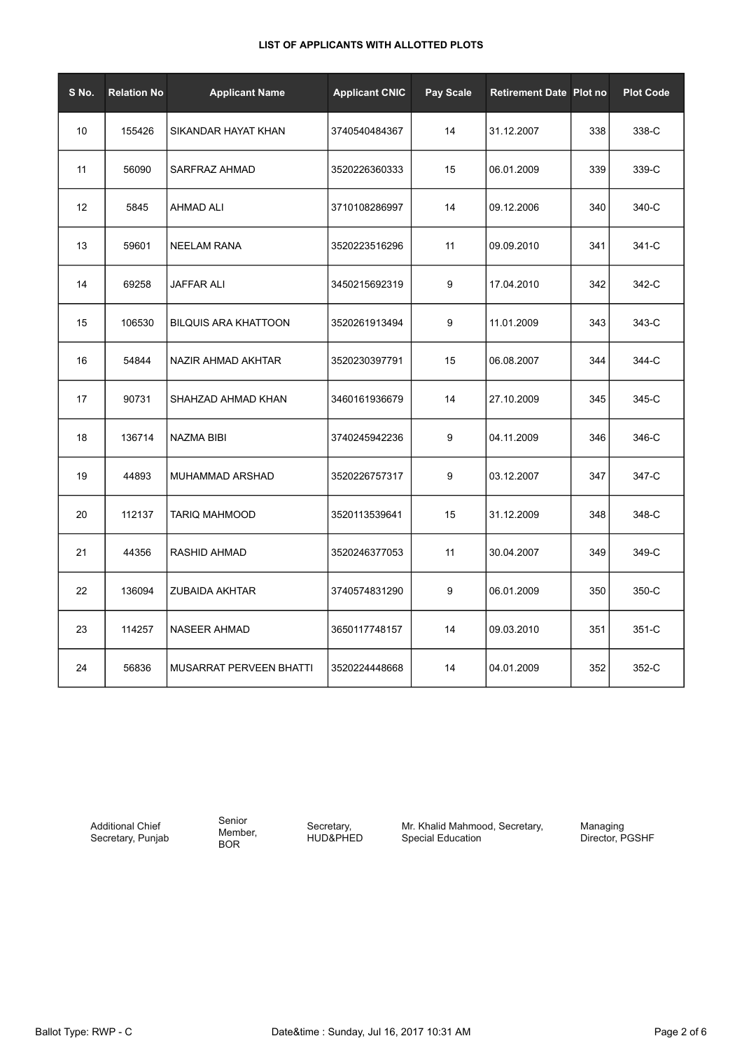| S No. | <b>Relation No</b> | <b>Applicant Name</b>       | <b>Applicant CNIC</b> | Pay Scale | <b>Retirement Date Plot no</b> |     | <b>Plot Code</b> |
|-------|--------------------|-----------------------------|-----------------------|-----------|--------------------------------|-----|------------------|
| 10    | 155426             | SIKANDAR HAYAT KHAN         | 3740540484367         | 14        | 31.12.2007                     | 338 | 338-C            |
| 11    | 56090              | SARFRAZ AHMAD               | 3520226360333         | 15        | 06.01.2009                     | 339 | 339-C            |
| 12    | 5845               | <b>AHMAD ALI</b>            | 3710108286997         | 14        | 09.12.2006                     | 340 | 340-C            |
| 13    | 59601              | <b>NEELAM RANA</b>          | 3520223516296         | 11        | 09.09.2010                     | 341 | 341-C            |
| 14    | 69258              | <b>JAFFAR ALI</b>           | 3450215692319         | 9         | 17.04.2010                     | 342 | 342-C            |
| 15    | 106530             | <b>BILQUIS ARA KHATTOON</b> | 3520261913494         | 9         | 11.01.2009                     | 343 | 343-C            |
| 16    | 54844              | NAZIR AHMAD AKHTAR          | 3520230397791         | 15        | 06.08.2007                     | 344 | 344-C            |
| 17    | 90731              | SHAHZAD AHMAD KHAN          | 3460161936679         | 14        | 27.10.2009                     | 345 | 345-C            |
| 18    | 136714             | <b>NAZMA BIBI</b>           | 3740245942236         | 9         | 04.11.2009                     | 346 | 346-C            |
| 19    | 44893              | MUHAMMAD ARSHAD             | 3520226757317         | 9         | 03.12.2007                     | 347 | 347-C            |
| 20    | 112137             | TARIQ MAHMOOD               | 3520113539641         | 15        | 31.12.2009                     | 348 | 348-C            |
| 21    | 44356              | RASHID AHMAD                | 3520246377053         | 11        | 30.04.2007                     | 349 | 349-C            |
| 22    | 136094             | ZUBAIDA AKHTAR              | 3740574831290         | 9         | 06.01.2009                     | 350 | 350-C            |
| 23    | 114257             | <b>NASEER AHMAD</b>         | 3650117748157         | 14        | 09.03.2010                     | 351 | 351-C            |
| 24    | 56836              | MUSARRAT PERVEEN BHATTI     | 3520224448668         | 14        | 04.01.2009                     | 352 | 352-C            |

Additional Chief Secretary, Punjab

Senior Member, BOR

Secretary, HUD&PHED Mr. Khalid Mahmood, Secretary, Special Education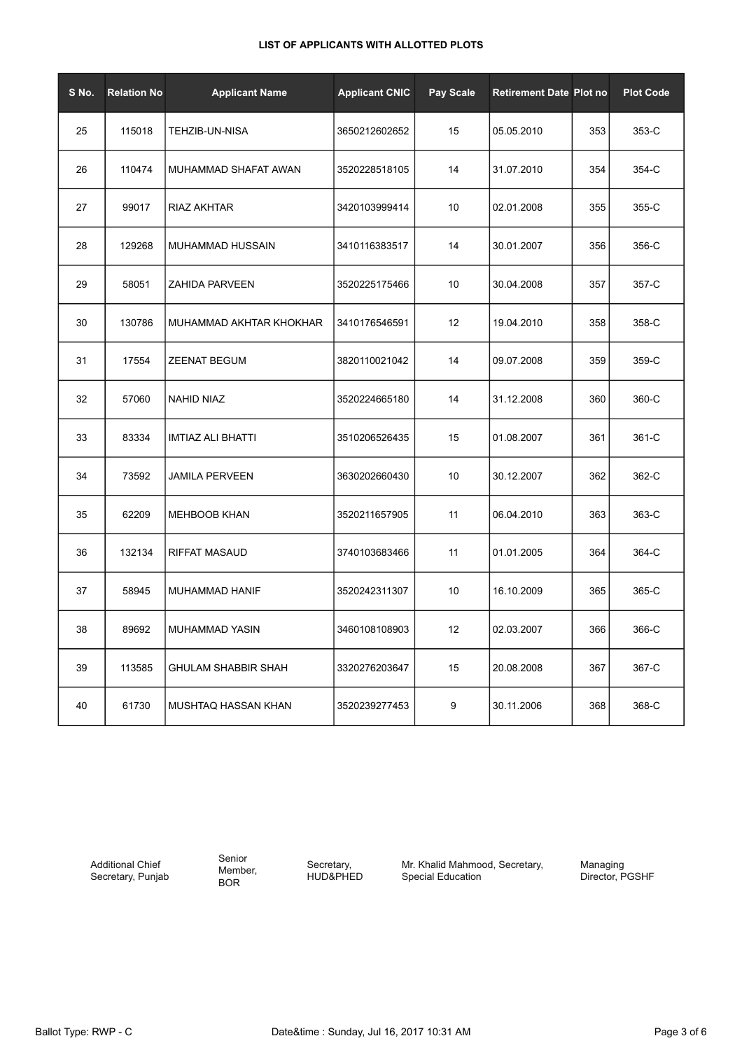| S No. | <b>Relation No</b> | <b>Applicant Name</b>      | <b>Applicant CNIC</b> | <b>Pay Scale</b> | <b>Retirement Date Plot no</b> |     | <b>Plot Code</b> |
|-------|--------------------|----------------------------|-----------------------|------------------|--------------------------------|-----|------------------|
| 25    | 115018             | TEHZIB-UN-NISA             | 3650212602652         | 15               | 05.05.2010                     | 353 | 353-C            |
| 26    | 110474             | MUHAMMAD SHAFAT AWAN       | 3520228518105         | 14               | 31.07.2010                     | 354 | 354-C            |
| 27    | 99017              | RIAZ AKHTAR                | 3420103999414         | 10               | 02.01.2008                     | 355 | 355-C            |
| 28    | 129268             | <b>MUHAMMAD HUSSAIN</b>    | 3410116383517         | 14               | 30.01.2007                     | 356 | 356-C            |
| 29    | 58051              | <b>ZAHIDA PARVEEN</b>      | 3520225175466         | 10               | 30.04.2008                     | 357 | 357-C            |
| 30    | 130786             | MUHAMMAD AKHTAR KHOKHAR    | 3410176546591         | 12               | 19.04.2010                     | 358 | 358-C            |
| 31    | 17554              | <b>ZEENAT BEGUM</b>        | 3820110021042         | 14               | 09.07.2008                     | 359 | 359-C            |
| 32    | 57060              | <b>NAHID NIAZ</b>          | 3520224665180         | 14               | 31.12.2008                     | 360 | 360-C            |
| 33    | 83334              | IMTIAZ ALI BHATTI          | 3510206526435         | 15               | 01.08.2007                     | 361 | 361-C            |
| 34    | 73592              | <b>JAMILA PERVEEN</b>      | 3630202660430         | 10               | 30.12.2007                     | 362 | 362-C            |
| 35    | 62209              | <b>MEHBOOB KHAN</b>        | 3520211657905         | 11               | 06.04.2010                     | 363 | 363-C            |
| 36    | 132134             | RIFFAT MASAUD              | 3740103683466         | 11               | 01.01.2005                     | 364 | 364-C            |
| 37    | 58945              | MUHAMMAD HANIF             | 3520242311307         | 10               | 16.10.2009                     | 365 | 365-C            |
| 38    | 89692              | MUHAMMAD YASIN             | 3460108108903         | 12               | 02.03.2007                     | 366 | 366-C            |
| 39    | 113585             | <b>GHULAM SHABBIR SHAH</b> | 3320276203647         | 15               | 20.08.2008                     | 367 | 367-C            |
| 40    | 61730              | MUSHTAQ HASSAN KHAN        | 3520239277453         | 9                | 30.11.2006                     | 368 | 368-C            |

Additional Chief Secretary, Punjab Senior Member, BOR

Secretary, HUD&PHED Mr. Khalid Mahmood, Secretary, Special Education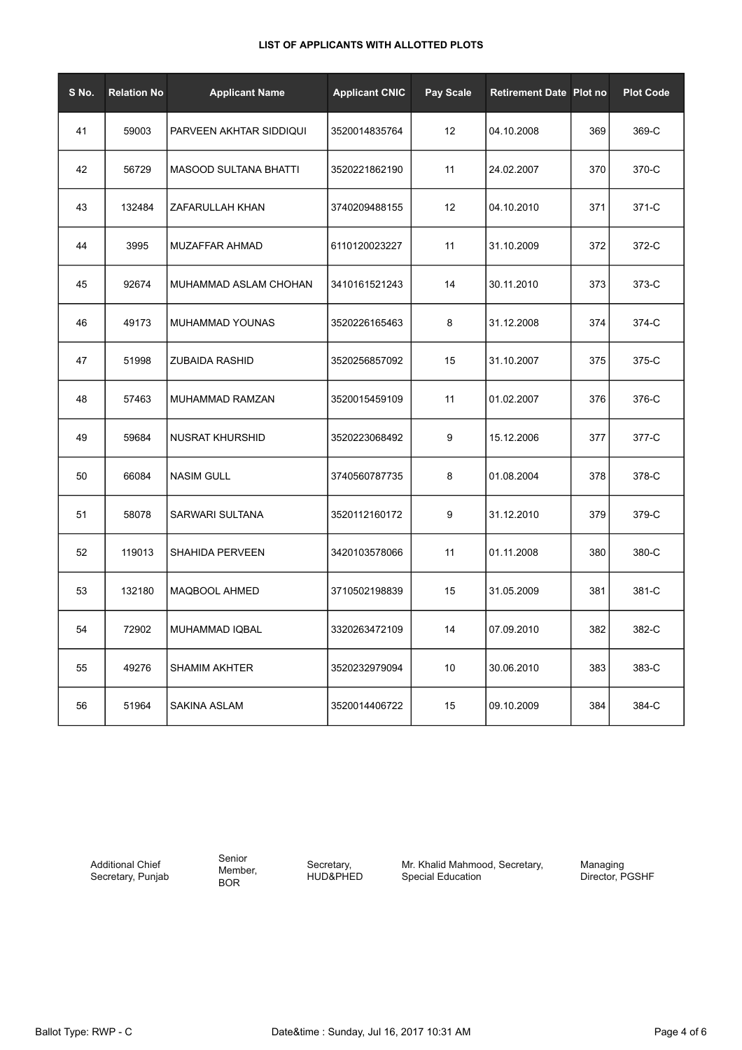| S No. | <b>Relation No</b> | <b>Applicant Name</b>        | <b>Applicant CNIC</b> | Pay Scale | <b>Retirement Date Plot no</b> |     | <b>Plot Code</b> |
|-------|--------------------|------------------------------|-----------------------|-----------|--------------------------------|-----|------------------|
| 41    | 59003              | PARVEEN AKHTAR SIDDIQUI      | 3520014835764         | 12        | 04.10.2008                     | 369 | 369-C            |
| 42    | 56729              | <b>MASOOD SULTANA BHATTI</b> | 3520221862190         | 11        | 24.02.2007                     | 370 | 370-C            |
| 43    | 132484             | ZAFARULLAH KHAN              | 3740209488155         | 12        | 04.10.2010                     | 371 | 371-C            |
| 44    | 3995               | <b>MUZAFFAR AHMAD</b>        | 6110120023227         | 11        | 31.10.2009                     | 372 | 372-C            |
| 45    | 92674              | MUHAMMAD ASLAM CHOHAN        | 3410161521243         | 14        | 30.11.2010                     | 373 | 373-C            |
| 46    | 49173              | MUHAMMAD YOUNAS              | 3520226165463         | 8         | 31.12.2008                     | 374 | 374-C            |
| 47    | 51998              | <b>ZUBAIDA RASHID</b>        | 3520256857092         | 15        | 31.10.2007                     | 375 | 375-C            |
| 48    | 57463              | MUHAMMAD RAMZAN              | 3520015459109         | 11        | 01.02.2007                     | 376 | 376-C            |
| 49    | 59684              | NUSRAT KHURSHID              | 3520223068492         | 9         | 15.12.2006                     | 377 | 377-C            |
| 50    | 66084              | <b>NASIM GULL</b>            | 3740560787735         | 8         | 01.08.2004                     | 378 | 378-C            |
| 51    | 58078              | SARWARI SULTANA              | 3520112160172         | 9         | 31.12.2010                     | 379 | 379-C            |
| 52    | 119013             | <b>SHAHIDA PERVEEN</b>       | 3420103578066         | 11        | 01.11.2008                     | 380 | 380-C            |
| 53    | 132180             | MAQBOOL AHMED                | 3710502198839         | 15        | 31.05.2009                     | 381 | 381-C            |
| 54    | 72902              | MUHAMMAD IQBAL               | 3320263472109         | 14        | 07.09.2010                     | 382 | 382-C            |
| 55    | 49276              | <b>SHAMIM AKHTER</b>         | 3520232979094         | 10        | 30.06.2010                     | 383 | 383-C            |
| 56    | 51964              | <b>SAKINA ASLAM</b>          | 3520014406722         | 15        | 09.10.2009                     | 384 | 384-C            |

Additional Chief Secretary, Punjab Senior Member, BOR

Secretary, HUD&PHED Mr. Khalid Mahmood, Secretary, Special Education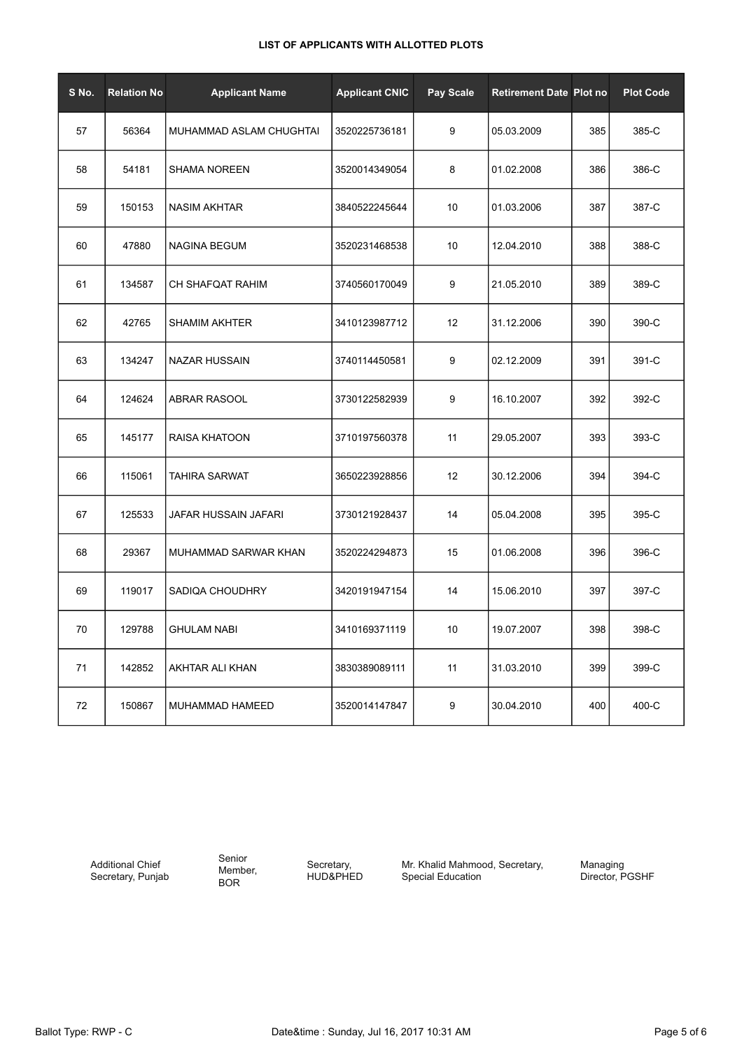| S No. | <b>Relation No</b> | <b>Applicant Name</b>   | <b>Applicant CNIC</b> | Pay Scale | <b>Retirement Date Plot no</b> |     | <b>Plot Code</b> |
|-------|--------------------|-------------------------|-----------------------|-----------|--------------------------------|-----|------------------|
| 57    | 56364              | MUHAMMAD ASLAM CHUGHTAI | 3520225736181         | 9         | 05.03.2009                     | 385 | 385-C            |
| 58    | 54181              | <b>SHAMA NOREEN</b>     | 3520014349054         | 8         | 01.02.2008                     | 386 | 386-C            |
| 59    | 150153             | <b>NASIM AKHTAR</b>     | 3840522245644         | 10        | 01.03.2006                     | 387 | 387-C            |
| 60    | 47880              | <b>NAGINA BEGUM</b>     | 3520231468538         | 10        | 12.04.2010                     | 388 | 388-C            |
| 61    | 134587             | CH SHAFQAT RAHIM        | 3740560170049         | 9         | 21.05.2010                     | 389 | 389-C            |
| 62    | 42765              | <b>SHAMIM AKHTER</b>    | 3410123987712         | 12        | 31.12.2006                     | 390 | 390-C            |
| 63    | 134247             | <b>NAZAR HUSSAIN</b>    | 3740114450581         | 9         | 02.12.2009                     | 391 | 391-C            |
| 64    | 124624             | <b>ABRAR RASOOL</b>     | 3730122582939         | 9         | 16.10.2007                     | 392 | 392-C            |
| 65    | 145177             | <b>RAISA KHATOON</b>    | 3710197560378         | 11        | 29.05.2007                     | 393 | 393-C            |
| 66    | 115061             | <b>TAHIRA SARWAT</b>    | 3650223928856         | 12        | 30.12.2006                     | 394 | 394-C            |
| 67    | 125533             | JAFAR HUSSAIN JAFARI    | 3730121928437         | 14        | 05.04.2008                     | 395 | 395-C            |
| 68    | 29367              | MUHAMMAD SARWAR KHAN    | 3520224294873         | 15        | 01.06.2008                     | 396 | 396-C            |
| 69    | 119017             | <b>SADIQA CHOUDHRY</b>  | 3420191947154         | 14        | 15.06.2010                     | 397 | 397-C            |
| 70    | 129788             | <b>GHULAM NABI</b>      | 3410169371119         | 10        | 19.07.2007                     | 398 | 398-C            |
| 71    | 142852             | AKHTAR ALI KHAN         | 3830389089111         | 11        | 31.03.2010                     | 399 | 399-C            |
| 72    | 150867             | MUHAMMAD HAMEED         | 3520014147847         | 9         | 30.04.2010                     | 400 | 400-C            |

Additional Chief Secretary, Punjab Senior Member, BOR

Secretary, HUD&PHED Mr. Khalid Mahmood, Secretary, Special Education